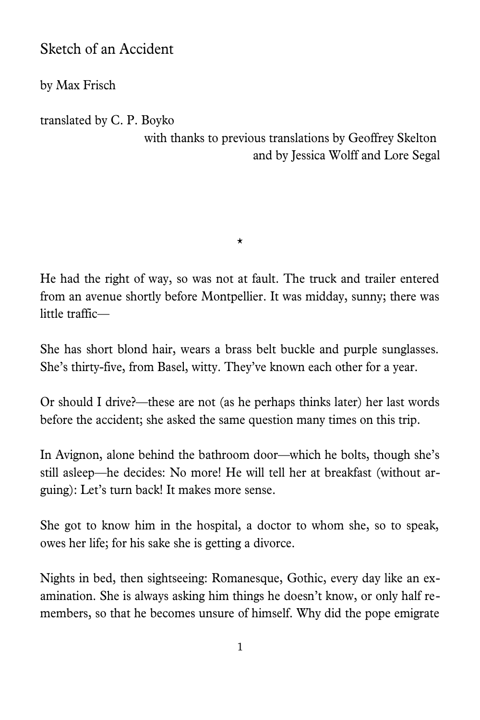## Sketch of an Accident

by Max Frisch

translated by C. P. Boyko

with thanks to previous translations by Geoffrey Skelton and by Jessica Wolff and Lore Segal

He had the right of way, so was not at fault. The truck and trailer entered from an avenue shortly before Montpellier. It was midday, sunny; there was little traffic—

\*

She has short blond hair, wears a brass belt buckle and purple sunglasses. She's thirty-five, from Basel, witty. They've known each other for a year.

Or should I drive?—these are not (as he perhaps thinks later) her last words before the accident; she asked the same question many times on this trip.

In Avignon, alone behind the bathroom door—which he bolts, though she's still asleep—he decides: No more! He will tell her at breakfast (without arguing): Let's turn back! It makes more sense.

She got to know him in the hospital, a doctor to whom she, so to speak, owes her life; for his sake she is getting a divorce.

Nights in bed, then sightseeing: Romanesque, Gothic, every day like an examination. She is always asking him things he doesn't know, or only half remembers, so that he becomes unsure of himself. Why did the pope emigrate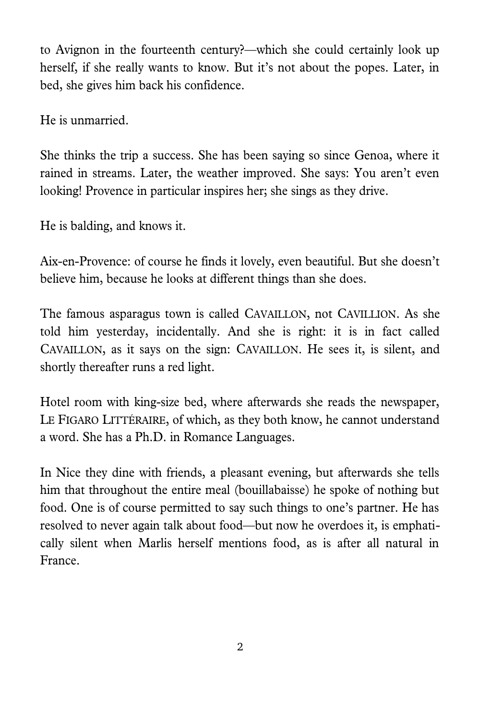to Avignon in the fourteenth century?—which she could certainly look up herself, if she really wants to know. But it's not about the popes. Later, in bed, she gives him back his confidence.

He is unmarried.

She thinks the trip a success. She has been saying so since Genoa, where it rained in streams. Later, the weather improved. She says: You aren't even looking! Provence in particular inspires her; she sings as they drive.

He is balding, and knows it.

Aix-en-Provence: of course he finds it lovely, even beautiful. But she doesn't believe him, because he looks at different things than she does.

The famous asparagus town is called CAVAILLON, not CAVILLION. As she told him yesterday, incidentally. And she is right: it is in fact called CAVAILLON, as it says on the sign: CAVAILLON. He sees it, is silent, and shortly thereafter runs a red light.

Hotel room with king-size bed, where afterwards she reads the newspaper, LE FIGARO LITTÉRAIRE, of which, as they both know, he cannot understand a word. She has a Ph.D. in Romance Languages.

In Nice they dine with friends, a pleasant evening, but afterwards she tells him that throughout the entire meal (bouillabaisse) he spoke of nothing but food. One is of course permitted to say such things to one's partner. He has resolved to never again talk about food—but now he overdoes it, is emphatically silent when Marlis herself mentions food, as is after all natural in France.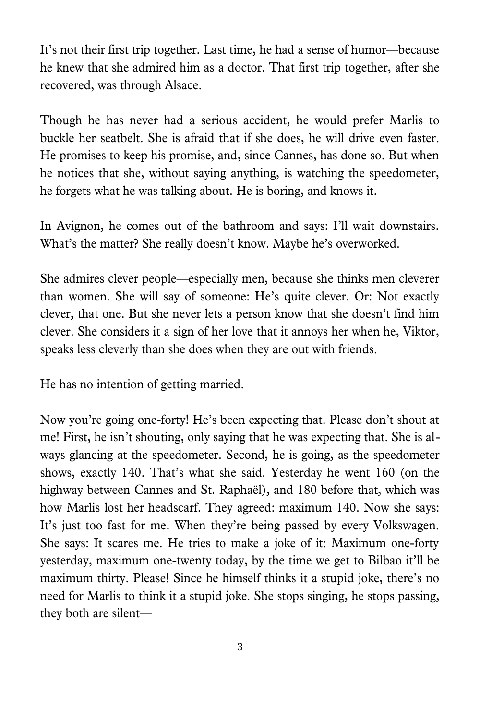It's not their first trip together. Last time, he had a sense of humor—because he knew that she admired him as a doctor. That first trip together, after she recovered, was through Alsace.

Though he has never had a serious accident, he would prefer Marlis to buckle her seatbelt. She is afraid that if she does, he will drive even faster. He promises to keep his promise, and, since Cannes, has done so. But when he notices that she, without saying anything, is watching the speedometer, he forgets what he was talking about. He is boring, and knows it.

In Avignon, he comes out of the bathroom and says: I'll wait downstairs. What's the matter? She really doesn't know. Maybe he's overworked.

She admires clever people—especially men, because she thinks men cleverer than women. She will say of someone: He's quite clever. Or: Not exactly clever, that one. But she never lets a person know that she doesn't find him clever. She considers it a sign of her love that it annoys her when he, Viktor, speaks less cleverly than she does when they are out with friends.

He has no intention of getting married.

Now you're going one-forty! He's been expecting that. Please don't shout at me! First, he isn't shouting, only saying that he was expecting that. She is always glancing at the speedometer. Second, he is going, as the speedometer shows, exactly 140. That's what she said. Yesterday he went 160 (on the highway between Cannes and St. Raphaël), and 180 before that, which was how Marlis lost her headscarf. They agreed: maximum 140. Now she says: It's just too fast for me. When they're being passed by every Volkswagen. She says: It scares me. He tries to make a joke of it: Maximum one-forty yesterday, maximum one-twenty today, by the time we get to Bilbao it'll be maximum thirty. Please! Since he himself thinks it a stupid joke, there's no need for Marlis to think it a stupid joke. She stops singing, he stops passing, they both are silent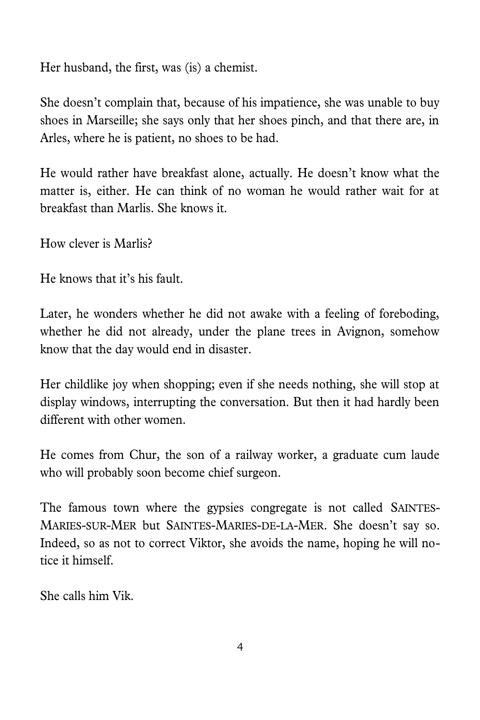Her husband, the first, was (is) a chemist.

She doesn't complain that, because of his impatience, she was unable to buy shoes in Marseille; she says only that her shoes pinch, and that there are, in Arles, where he is patient, no shoes to be had.

He would rather have breakfast alone, actually. He doesn't know what the matter is, either. He can think of no woman he would rather wait for at breakfast than Marlis. She knows it.

How clever is Marlis?

He knows that it's his fault.

Later, he wonders whether he did not awake with a feeling of foreboding, whether he did not already, under the plane trees in Avignon, somehow know that the day would end in disaster.

Her childlike joy when shopping; even if she needs nothing, she will stop at display windows, interrupting the conversation. But then it had hardly been different with other women.

He comes from Chur, the son of a railway worker, a graduate cum laude who will probably soon become chief surgeon.

The famous town where the gypsies congregate is not called SAINTES-MARIES-SUR-MER but SAINTES-MARIES-DE-LA-MER. She doesn't say so. Indeed, so as not to correct Viktor, she avoids the name, hoping he will notice it himself.

She calls him Vik.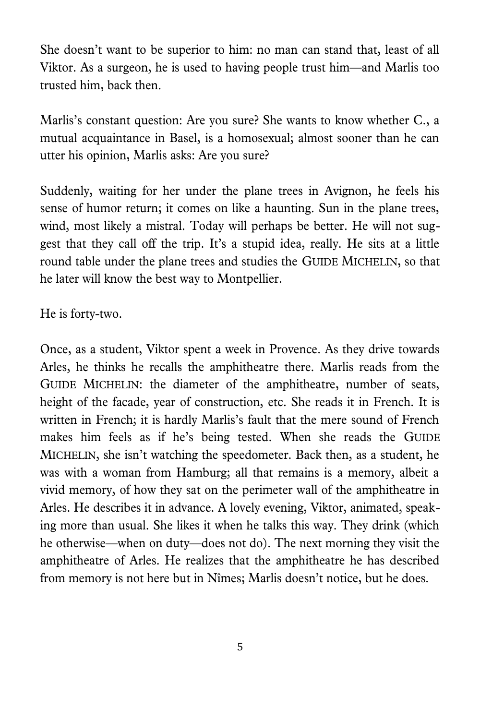She doesn't want to be superior to him: no man can stand that, least of all Viktor. As a surgeon, he is used to having people trust him—and Marlis too trusted him, back then.

Marlis's constant question: Are you sure? She wants to know whether C., a mutual acquaintance in Basel, is a homosexual; almost sooner than he can utter his opinion, Marlis asks: Are you sure?

Suddenly, waiting for her under the plane trees in Avignon, he feels his sense of humor return; it comes on like a haunting. Sun in the plane trees, wind, most likely a mistral. Today will perhaps be better. He will not suggest that they call off the trip. It's a stupid idea, really. He sits at a little round table under the plane trees and studies the GUIDE MICHELIN, so that he later will know the best way to Montpellier.

He is forty-two.

Once, as a student, Viktor spent a week in Provence. As they drive towards Arles, he thinks he recalls the amphitheatre there. Marlis reads from the GUIDE MICHELIN: the diameter of the amphitheatre, number of seats, height of the facade, year of construction, etc. She reads it in French. It is written in French; it is hardly Marlis's fault that the mere sound of French makes him feels as if he's being tested. When she reads the GUIDE MICHELIN, she isn't watching the speedometer. Back then, as a student, he was with a woman from Hamburg; all that remains is a memory, albeit a vivid memory, of how they sat on the perimeter wall of the amphitheatre in Arles. He describes it in advance. A lovely evening, Viktor, animated, speaking more than usual. She likes it when he talks this way. They drink (which he otherwise—when on duty—does not do). The next morning they visit the amphitheatre of Arles. He realizes that the amphitheatre he has described from memory is not here but in Nîmes; Marlis doesn't notice, but he does.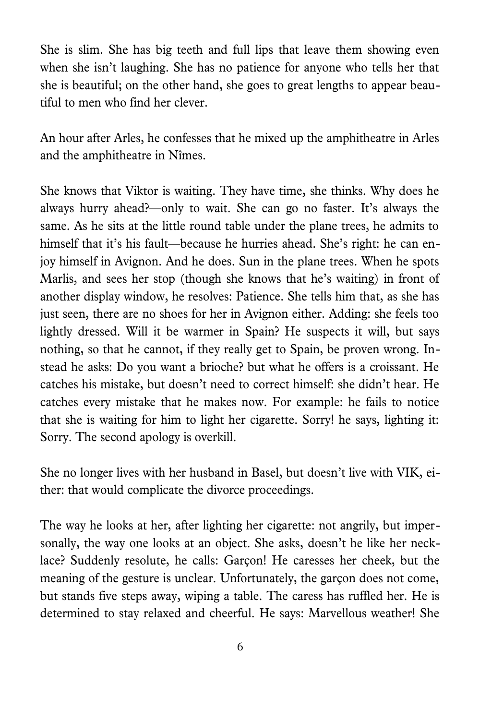She is slim. She has big teeth and full lips that leave them showing even when she isn't laughing. She has no patience for anyone who tells her that she is beautiful; on the other hand, she goes to great lengths to appear beautiful to men who find her clever.

An hour after Arles, he confesses that he mixed up the amphitheatre in Arles and the amphitheatre in Nîmes.

She knows that Viktor is waiting. They have time, she thinks. Why does he always hurry ahead?—only to wait. She can go no faster. It's always the same. As he sits at the little round table under the plane trees, he admits to himself that it's his fault—because he hurries ahead. She's right: he can enjoy himself in Avignon. And he does. Sun in the plane trees. When he spots Marlis, and sees her stop (though she knows that he's waiting) in front of another display window, he resolves: Patience. She tells him that, as she has just seen, there are no shoes for her in Avignon either. Adding: she feels too lightly dressed. Will it be warmer in Spain? He suspects it will, but says nothing, so that he cannot, if they really get to Spain, be proven wrong. Instead he asks: Do you want a brioche? but what he offers is a croissant. He catches his mistake, but doesn't need to correct himself: she didn't hear. He catches every mistake that he makes now. For example: he fails to notice that she is waiting for him to light her cigarette. Sorry! he says, lighting it: Sorry. The second apology is overkill.

She no longer lives with her husband in Basel, but doesn't live with VIK, either: that would complicate the divorce proceedings.

The way he looks at her, after lighting her cigarette: not angrily, but impersonally, the way one looks at an object. She asks, doesn't he like her necklace? Suddenly resolute, he calls: Garçon! He caresses her cheek, but the meaning of the gesture is unclear. Unfortunately, the garçon does not come, but stands five steps away, wiping a table. The caress has ruffled her. He is determined to stay relaxed and cheerful. He says: Marvellous weather! She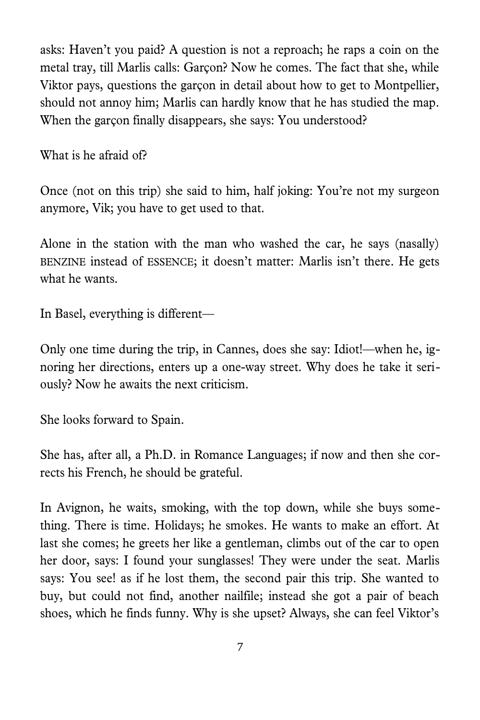asks: Haven't you paid? A question is not a reproach; he raps a coin on the metal tray, till Marlis calls: Garçon? Now he comes. The fact that she, while Viktor pays, questions the garçon in detail about how to get to Montpellier, should not annoy him; Marlis can hardly know that he has studied the map. When the garçon finally disappears, she says: You understood?

What is he afraid of?

Once (not on this trip) she said to him, half joking: You're not my surgeon anymore, Vik; you have to get used to that.

Alone in the station with the man who washed the car, he says (nasally) BENZINE instead of ESSENCE; it doesn't matter: Marlis isn't there. He gets what he wants.

In Basel, everything is different—

Only one time during the trip, in Cannes, does she say: Idiot!—when he, ignoring her directions, enters up a one-way street. Why does he take it seriously? Now he awaits the next criticism.

She looks forward to Spain.

She has, after all, a Ph.D. in Romance Languages; if now and then she corrects his French, he should be grateful.

In Avignon, he waits, smoking, with the top down, while she buys something. There is time. Holidays; he smokes. He wants to make an effort. At last she comes; he greets her like a gentleman, climbs out of the car to open her door, says: I found your sunglasses! They were under the seat. Marlis says: You see! as if he lost them, the second pair this trip. She wanted to buy, but could not find, another nailfile; instead she got a pair of beach shoes, which he finds funny. Why is she upset? Always, she can feel Viktor's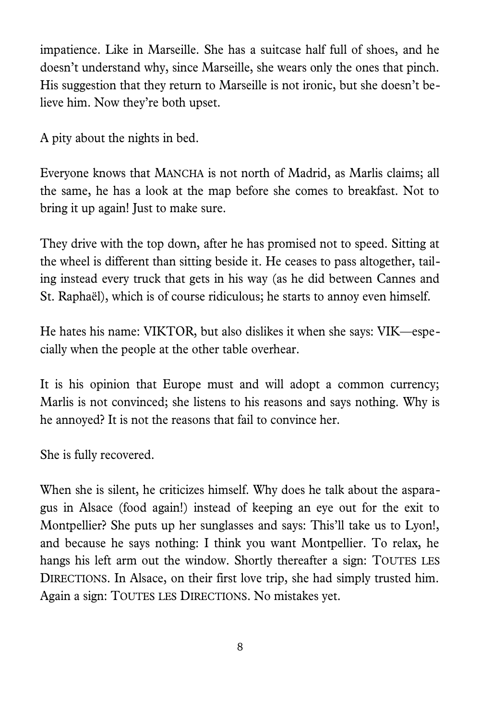impatience. Like in Marseille. She has a suitcase half full of shoes, and he doesn't understand why, since Marseille, she wears only the ones that pinch. His suggestion that they return to Marseille is not ironic, but she doesn't believe him. Now they're both upset.

A pity about the nights in bed.

Everyone knows that MANCHA is not north of Madrid, as Marlis claims; all the same, he has a look at the map before she comes to breakfast. Not to bring it up again! Just to make sure.

They drive with the top down, after he has promised not to speed. Sitting at the wheel is different than sitting beside it. He ceases to pass altogether, tailing instead every truck that gets in his way (as he did between Cannes and St. Raphaël), which is of course ridiculous; he starts to annoy even himself.

He hates his name: VIKTOR, but also dislikes it when she says: VIK—especially when the people at the other table overhear.

It is his opinion that Europe must and will adopt a common currency; Marlis is not convinced; she listens to his reasons and says nothing. Why is he annoyed? It is not the reasons that fail to convince her.

She is fully recovered.

When she is silent, he criticizes himself. Why does he talk about the asparagus in Alsace (food again!) instead of keeping an eye out for the exit to Montpellier? She puts up her sunglasses and says: This'll take us to Lyon!, and because he says nothing: I think you want Montpellier. To relax, he hangs his left arm out the window. Shortly thereafter a sign: TOUTES LES DIRECTIONS. In Alsace, on their first love trip, she had simply trusted him. Again a sign: TOUTES LES DIRECTIONS. No mistakes yet.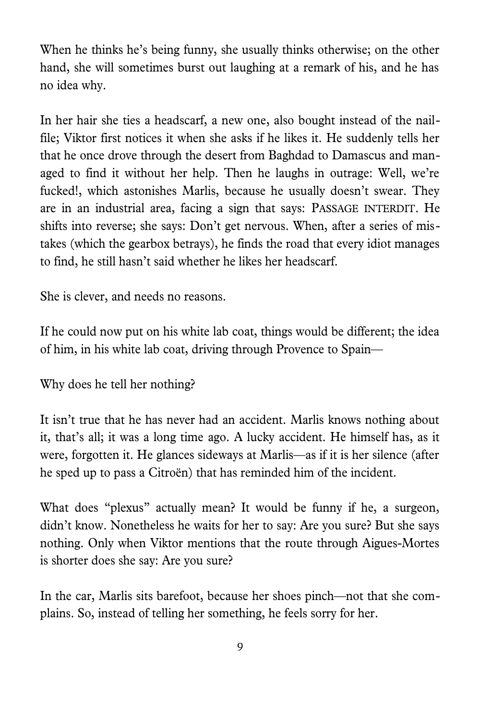When he thinks he's being funny, she usually thinks otherwise; on the other hand, she will sometimes burst out laughing at a remark of his, and he has no idea why.

In her hair she ties a headscarf, a new one, also bought instead of the nailfile; Viktor first notices it when she asks if he likes it. He suddenly tells her that he once drove through the desert from Baghdad to Damascus and managed to find it without her help. Then he laughs in outrage: Well, we're fucked!, which astonishes Marlis, because he usually doesn't swear. They are in an industrial area, facing a sign that says: PASSAGE INTERDIT. He shifts into reverse; she says: Don't get nervous. When, after a series of mistakes (which the gearbox betrays), he finds the road that every idiot manages to find, he still hasn't said whether he likes her headscarf.

She is clever, and needs no reasons.

If he could now put on his white lab coat, things would be different; the idea of him, in his white lab coat, driving through Provence to Spain—

Why does he tell her nothing?

It isn't true that he has never had an accident. Marlis knows nothing about it, that's all; it was a long time ago. A lucky accident. He himself has, as it were, forgotten it. He glances sideways at Marlis—as if it is her silence (after he sped up to pass a Citroën) that has reminded him of the incident.

What does "plexus" actually mean? It would be funny if he, a surgeon, didn't know. Nonetheless he waits for her to say: Are you sure? But she says nothing. Only when Viktor mentions that the route through Aigues-Mortes is shorter does she say: Are you sure?

In the car, Marlis sits barefoot, because her shoes pinch—not that she complains. So, instead of telling her something, he feels sorry for her.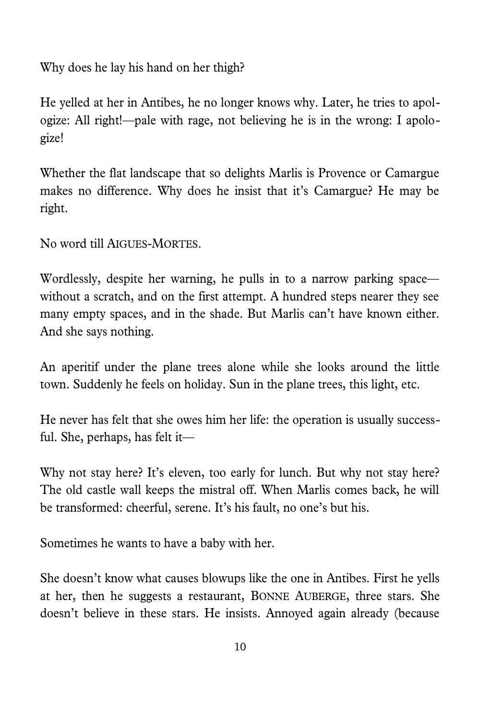Why does he lay his hand on her thigh?

He yelled at her in Antibes, he no longer knows why. Later, he tries to apologize: All right!—pale with rage, not believing he is in the wrong: I apologize!

Whether the flat landscape that so delights Marlis is Provence or Camargue makes no difference. Why does he insist that it's Camargue? He may be right.

No word till AIGUES-MORTES.

Wordlessly, despite her warning, he pulls in to a narrow parking space without a scratch, and on the first attempt. A hundred steps nearer they see many empty spaces, and in the shade. But Marlis can't have known either. And she says nothing.

An aperitif under the plane trees alone while she looks around the little town. Suddenly he feels on holiday. Sun in the plane trees, this light, etc.

He never has felt that she owes him her life: the operation is usually successful. She, perhaps, has felt it—

Why not stay here? It's eleven, too early for lunch. But why not stay here? The old castle wall keeps the mistral off. When Marlis comes back, he will be transformed: cheerful, serene. It's his fault, no one's but his.

Sometimes he wants to have a baby with her.

She doesn't know what causes blowups like the one in Antibes. First he yells at her, then he suggests a restaurant, BONNE AUBERGE, three stars. She doesn't believe in these stars. He insists. Annoyed again already (because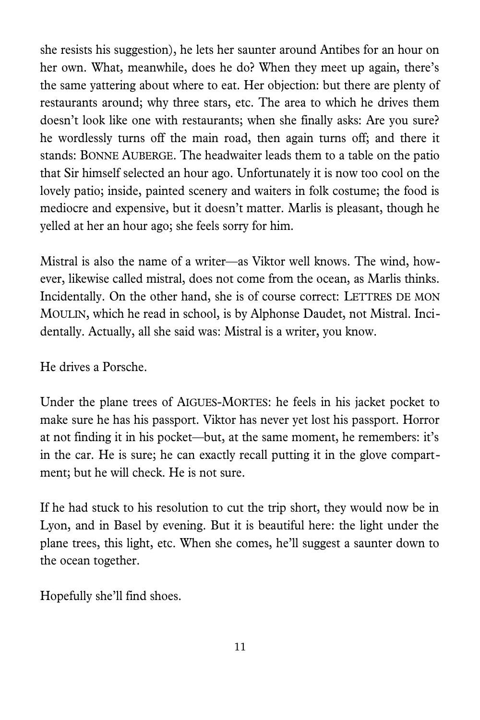she resists his suggestion), he lets her saunter around Antibes for an hour on her own. What, meanwhile, does he do? When they meet up again, there's the same yattering about where to eat. Her objection: but there are plenty of restaurants around; why three stars, etc. The area to which he drives them doesn't look like one with restaurants; when she finally asks: Are you sure? he wordlessly turns off the main road, then again turns off; and there it stands: BONNE AUBERGE. The headwaiter leads them to a table on the patio that Sir himself selected an hour ago. Unfortunately it is now too cool on the lovely patio; inside, painted scenery and waiters in folk costume; the food is mediocre and expensive, but it doesn't matter. Marlis is pleasant, though he yelled at her an hour ago; she feels sorry for him.

Mistral is also the name of a writer—as Viktor well knows. The wind, however, likewise called mistral, does not come from the ocean, as Marlis thinks. Incidentally. On the other hand, she is of course correct: LETTRES DE MON MOULIN, which he read in school, is by Alphonse Daudet, not Mistral. Incidentally. Actually, all she said was: Mistral is a writer, you know.

He drives a Porsche.

Under the plane trees of AIGUES-MORTES: he feels in his jacket pocket to make sure he has his passport. Viktor has never yet lost his passport. Horror at not finding it in his pocket—but, at the same moment, he remembers: it's in the car. He is sure; he can exactly recall putting it in the glove compartment; but he will check. He is not sure.

If he had stuck to his resolution to cut the trip short, they would now be in Lyon, and in Basel by evening. But it is beautiful here: the light under the plane trees, this light, etc. When she comes, he'll suggest a saunter down to the ocean together.

Hopefully she'll find shoes.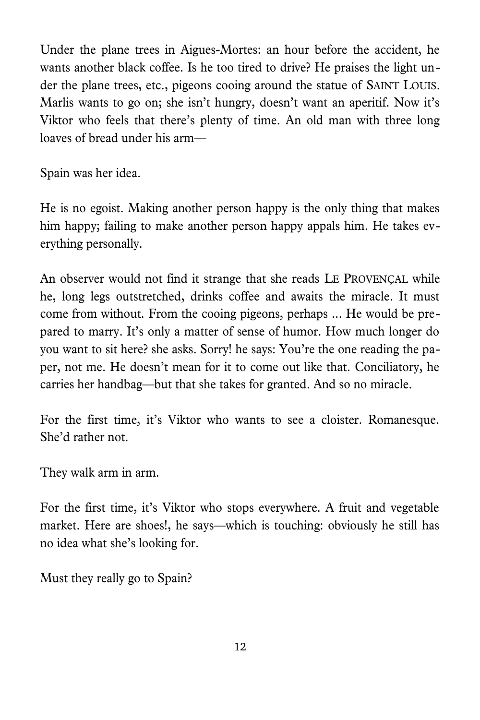Under the plane trees in Aigues-Mortes: an hour before the accident, he wants another black coffee. Is he too tired to drive? He praises the light under the plane trees, etc., pigeons cooing around the statue of SAINT LOUIS. Marlis wants to go on; she isn't hungry, doesn't want an aperitif. Now it's Viktor who feels that there's plenty of time. An old man with three long loaves of bread under his arm—

Spain was her idea.

He is no egoist. Making another person happy is the only thing that makes him happy; failing to make another person happy appals him. He takes everything personally.

An observer would not find it strange that she reads LE PROVENÇAL while he, long legs outstretched, drinks coffee and awaits the miracle. It must come from without. From the cooing pigeons, perhaps ... He would be prepared to marry. It's only a matter of sense of humor. How much longer do you want to sit here? she asks. Sorry! he says: You're the one reading the paper, not me. He doesn't mean for it to come out like that. Conciliatory, he carries her handbag—but that she takes for granted. And so no miracle.

For the first time, it's Viktor who wants to see a cloister. Romanesque. She'd rather not.

They walk arm in arm.

For the first time, it's Viktor who stops everywhere. A fruit and vegetable market. Here are shoes!, he says—which is touching: obviously he still has no idea what she's looking for.

Must they really go to Spain?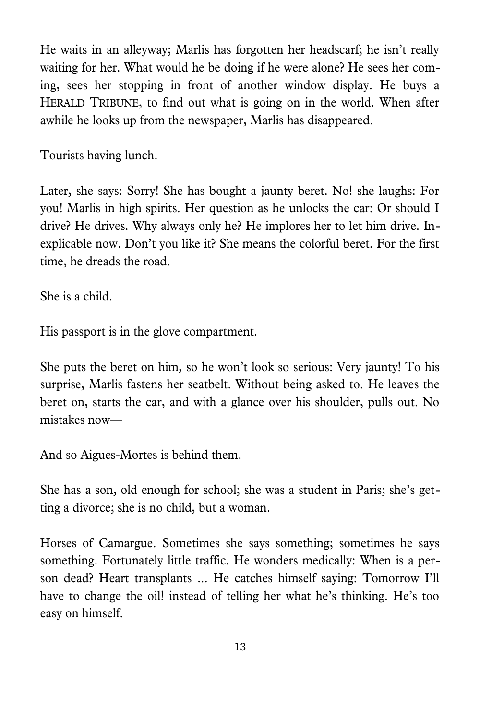He waits in an alleyway; Marlis has forgotten her headscarf; he isn't really waiting for her. What would he be doing if he were alone? He sees her coming, sees her stopping in front of another window display. He buys a HERALD TRIBUNE, to find out what is going on in the world. When after awhile he looks up from the newspaper, Marlis has disappeared.

Tourists having lunch.

Later, she says: Sorry! She has bought a jaunty beret. No! she laughs: For you! Marlis in high spirits. Her question as he unlocks the car: Or should I drive? He drives. Why always only he? He implores her to let him drive. Inexplicable now. Don't you like it? She means the colorful beret. For the first time, he dreads the road.

She is a child.

His passport is in the glove compartment.

She puts the beret on him, so he won't look so serious: Very jaunty! To his surprise, Marlis fastens her seatbelt. Without being asked to. He leaves the beret on, starts the car, and with a glance over his shoulder, pulls out. No mistakes now—

And so Aigues-Mortes is behind them.

She has a son, old enough for school; she was a student in Paris; she's getting a divorce; she is no child, but a woman.

Horses of Camargue. Sometimes she says something; sometimes he says something. Fortunately little traffic. He wonders medically: When is a person dead? Heart transplants ... He catches himself saying: Tomorrow I'll have to change the oil! instead of telling her what he's thinking. He's too easy on himself.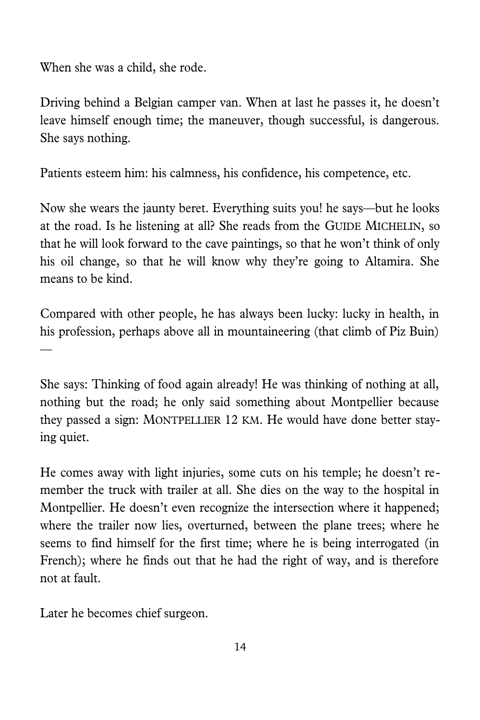When she was a child, she rode.

Driving behind a Belgian camper van. When at last he passes it, he doesn't leave himself enough time; the maneuver, though successful, is dangerous. She says nothing.

Patients esteem him: his calmness, his confidence, his competence, etc.

Now she wears the jaunty beret. Everything suits you! he says—but he looks at the road. Is he listening at all? She reads from the GUIDE MICHELIN, so that he will look forward to the cave paintings, so that he won't think of only his oil change, so that he will know why they're going to Altamira. She means to be kind.

Compared with other people, he has always been lucky: lucky in health, in his profession, perhaps above all in mountaineering (that climb of Piz Buin) —

She says: Thinking of food again already! He was thinking of nothing at all, nothing but the road; he only said something about Montpellier because they passed a sign: MONTPELLIER 12 KM. He would have done better staying quiet.

He comes away with light injuries, some cuts on his temple; he doesn't remember the truck with trailer at all. She dies on the way to the hospital in Montpellier. He doesn't even recognize the intersection where it happened; where the trailer now lies, overturned, between the plane trees; where he seems to find himself for the first time; where he is being interrogated (in French); where he finds out that he had the right of way, and is therefore not at fault.

Later he becomes chief surgeon.